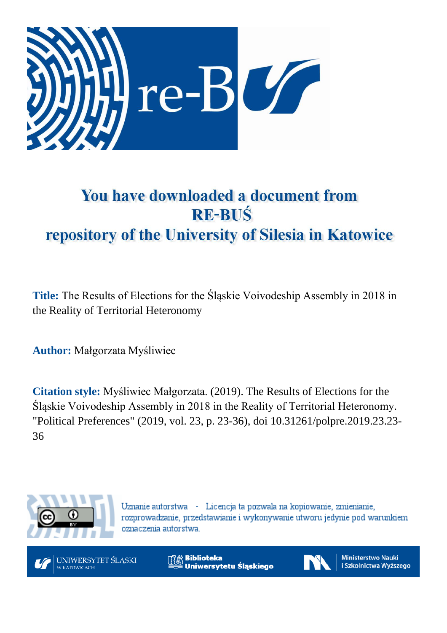

# You have downloaded a document from **RE-BUŚ** repository of the University of Silesia in Katowice

**Title:** The Results of Elections for the Śląskie Voivodeship Assembly in 2018 in the Reality of Territorial Heteronomy

**Author:** Małgorzata Myśliwiec

**Citation style:** Myśliwiec Małgorzata. (2019). The Results of Elections for the Śląskie Voivodeship Assembly in 2018 in the Reality of Territorial Heteronomy. "Political Preferences" (2019, vol. 23, p. 23-36), doi 10.31261/polpre.2019.23.23- 36



Uznanie autorstwa - Licencja ta pozwala na kopiowanie, zmienianie, rozprowadzanie, przedstawianie i wykonywanie utworu jedynie pod warunkiem oznaczenia autorstwa.



**Biblioteka** Uniwersytetu Śląskiego



**Ministerstwo Nauki** i Szkolnictwa Wyższego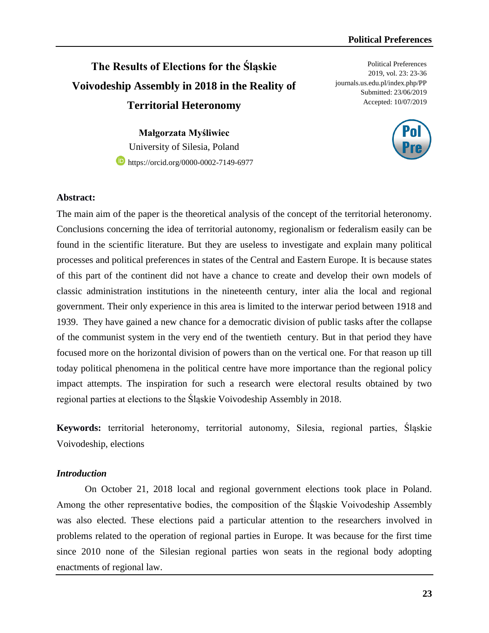## **The Results of Elections for the Śląskie Voivodeship Assembly in 2018 in the Reality of Territorial Heteronomy**

**Małgorzata Myśliwiec** University of Silesia, Poland **b** [https://orcid.org/0000-0002-7149-6977](https://orcid.org/0000-0003-1577-1652)

Political Preferences 2019, vol. 23: 23-36 journals.us.edu.pl/index.php/PP Submitted: 23/06/2019 Accepted: 10/07/2019



#### **Abstract:**

The main aim of the paper is the theoretical analysis of the concept of the territorial heteronomy. Conclusions concerning the idea of territorial autonomy, regionalism or federalism easily can be found in the scientific literature. But they are useless to investigate and explain many political processes and political preferences in states of the Central and Eastern Europe. It is because states of this part of the continent did not have a chance to create and develop their own models of classic administration institutions in the nineteenth century, inter alia the local and regional government. Their only experience in this area is limited to the interwar period between 1918 and 1939. They have gained a new chance for a democratic division of public tasks after the collapse of the communist system in the very end of the twentieth century. But in that period they have focused more on the horizontal division of powers than on the vertical one. For that reason up till today political phenomena in the political centre have more importance than the regional policy impact attempts. The inspiration for such a research were electoral results obtained by two regional parties at elections to the Śląskie Voivodeship Assembly in 2018.

**Keywords:** territorial heteronomy, territorial autonomy, Silesia, regional parties, Śląskie Voivodeship, elections

#### *Introduction*

On October 21, 2018 local and regional government elections took place in Poland. Among the other representative bodies, the composition of the Śląskie Voivodeship Assembly was also elected. These elections paid a particular attention to the researchers involved in problems related to the operation of regional parties in Europe. It was because for the first time since 2010 none of the Silesian regional parties won seats in the regional body adopting enactments of regional law.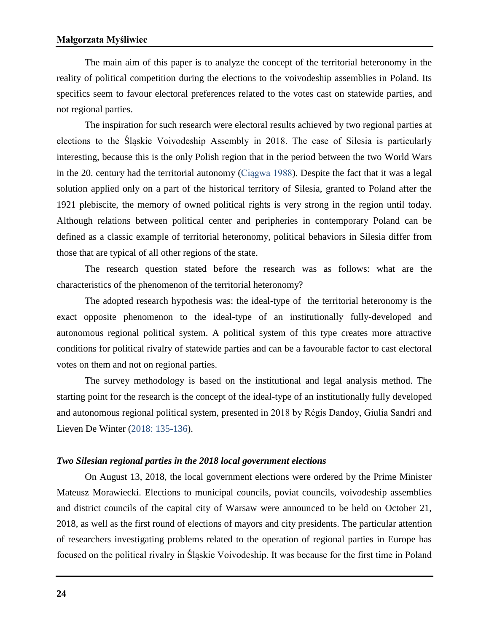The main aim of this paper is to analyze the concept of the territorial heteronomy in the reality of political competition during the elections to the voivodeship assemblies in Poland. Its specifics seem to favour electoral preferences related to the votes cast on statewide parties, and not regional parties.

The inspiration for such research were electoral results achieved by two regional parties at elections to the Śląskie Voivodeship Assembly in 2018. The case of Silesia is particularly interesting, because this is the only Polish region that in the period between the two World Wars in the 20. century had the territorial autonomy (Ciągwa 1988). Despite the fact that it was a legal solution applied only on a part of the historical territory of Silesia, granted to Poland after the 1921 plebiscite, the memory of owned political rights is very strong in the region until today. Although relations between political center and peripheries in contemporary Poland can be defined as a classic example of territorial heteronomy, political behaviors in Silesia differ from those that are typical of all other regions of the state.

The research question stated before the research was as follows: what are the characteristics of the phenomenon of the territorial heteronomy?

The adopted research hypothesis was: the ideal-type of the territorial heteronomy is the exact opposite phenomenon to the ideal-type of an institutionally fully-developed and autonomous regional political system. A political system of this type creates more attractive conditions for political rivalry of statewide parties and can be a favourable factor to cast electoral votes on them and not on regional parties.

The survey methodology is based on the institutional and legal analysis method. The starting point for the research is the concept of the ideal-type of an institutionally fully developed and autonomous regional political system, presented in 2018 by Régis Dandoy, Giulia Sandri and Lieven De Winter (2018: 135-136).

#### *Two Silesian regional parties in the 2018 local government elections*

On August 13, 2018, the local government elections were ordered by the Prime Minister Mateusz Morawiecki. Elections to municipal councils, poviat councils, voivodeship assemblies and district councils of the capital city of Warsaw were announced to be held on October 21, 2018, as well as the first round of elections of mayors and city presidents. The particular attention of researchers investigating problems related to the operation of regional parties in Europe has focused on the political rivalry in Śląskie Voivodeship. It was because for the first time in Poland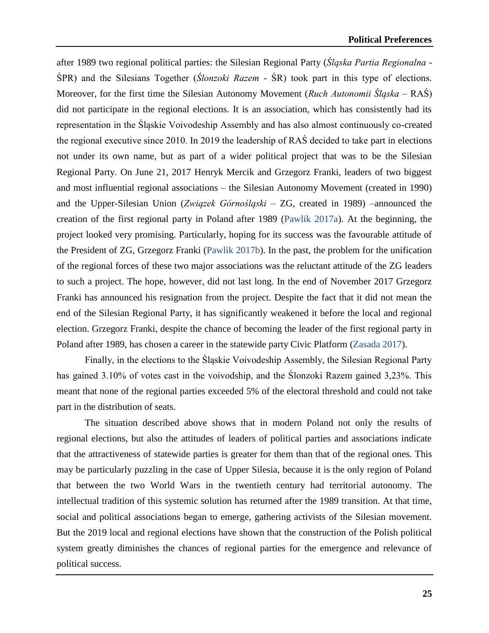after 1989 two regional political parties: the Silesian Regional Party (*Śląska Partia Regionalna -* ŚPR) and the Silesians Together (*Ślonzoki Razem* - ŚR) took part in this type of elections. Moreover, for the first time the Silesian Autonomy Movement (*Ruch Autonomii Śląska* – RAŚ) did not participate in the regional elections. It is an association, which has consistently had its representation in the Śląskie Voivodeship Assembly and has also almost continuously co-created the regional executive since 2010. In 2019 the leadership of RAŚ decided to take part in elections not under its own name, but as part of a wider political project that was to be the Silesian Regional Party. On June 21, 2017 Henryk Mercik and Grzegorz Franki, leaders of two biggest and most influential regional associations – the Silesian Autonomy Movement (created in 1990) and the Upper-Silesian Union (*Związek Górnośląski* – ZG, created in 1989) –announced the creation of the first regional party in Poland after 1989 (Pawlik 2017a). At the beginning, the project looked very promising. Particularly, hoping for its success was the favourable attitude of the President of ZG, Grzegorz Franki (Pawlik 2017b). In the past, the problem for the unification of the regional forces of these two major associations was the reluctant attitude of the ZG leaders to such a project. The hope, however, did not last long. In the end of November 2017 Grzegorz Franki has announced his resignation from the project. Despite the fact that it did not mean the end of the Silesian Regional Party, it has significantly weakened it before the local and regional election. Grzegorz Franki, despite the chance of becoming the leader of the first regional party in Poland after 1989, has chosen a career in the statewide party Civic Platform (Zasada 2017).

Finally, in the elections to the Śląskie Voivodeship Assembly, the Silesian Regional Party has gained 3.10% of votes cast in the voivodship, and the Ślonzoki Razem gained 3,23%. This meant that none of the regional parties exceeded 5% of the electoral threshold and could not take part in the distribution of seats.

The situation described above shows that in modern Poland not only the results of regional elections, but also the attitudes of leaders of political parties and associations indicate that the attractiveness of statewide parties is greater for them than that of the regional ones. This may be particularly puzzling in the case of Upper Silesia, because it is the only region of Poland that between the two World Wars in the twentieth century had territorial autonomy. The intellectual tradition of this systemic solution has returned after the 1989 transition. At that time, social and political associations began to emerge, gathering activists of the Silesian movement. But the 2019 local and regional elections have shown that the construction of the Polish political system greatly diminishes the chances of regional parties for the emergence and relevance of political success.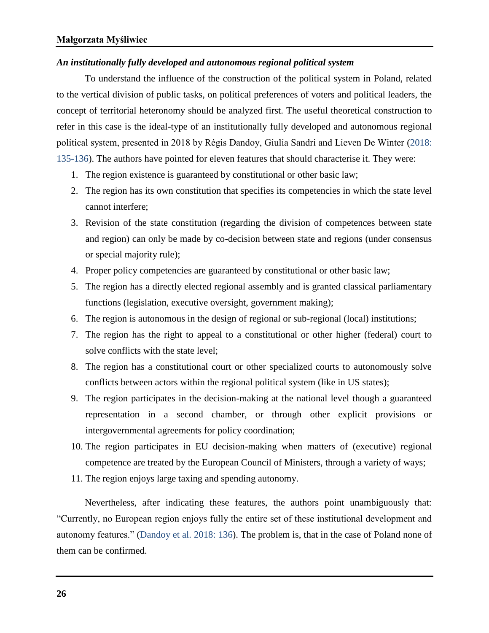#### *An institutionally fully developed and autonomous regional political system*

To understand the influence of the construction of the political system in Poland, related to the vertical division of public tasks, on political preferences of voters and political leaders, the concept of territorial heteronomy should be analyzed first. The useful theoretical construction to refer in this case is the ideal-type of an institutionally fully developed and autonomous regional political system, presented in 2018 by Régis Dandoy, Giulia Sandri and Lieven De Winter (2018: 135-136). The authors have pointed for eleven features that should characterise it. They were:

- 1. The region existence is guaranteed by constitutional or other basic law;
- 2. The region has its own constitution that specifies its competencies in which the state level cannot interfere;
- 3. Revision of the state constitution (regarding the division of competences between state and region) can only be made by co-decision between state and regions (under consensus or special majority rule);
- 4. Proper policy competencies are guaranteed by constitutional or other basic law;
- 5. The region has a directly elected regional assembly and is granted classical parliamentary functions (legislation, executive oversight, government making);
- 6. The region is autonomous in the design of regional or sub-regional (local) institutions;
- 7. The region has the right to appeal to a constitutional or other higher (federal) court to solve conflicts with the state level;
- 8. The region has a constitutional court or other specialized courts to autonomously solve conflicts between actors within the regional political system (like in US states);
- 9. The region participates in the decision-making at the national level though a guaranteed representation in a second chamber, or through other explicit provisions or intergovernmental agreements for policy coordination;
- 10. The region participates in EU decision-making when matters of (executive) regional competence are treated by the European Council of Ministers, through a variety of ways;
- 11. The region enjoys large taxing and spending autonomy.

Nevertheless, after indicating these features, the authors point unambiguously that: "Currently, no European region enjoys fully the entire set of these institutional development and autonomy features." (Dandoy et al. 2018: 136). The problem is, that in the case of Poland none of them can be confirmed.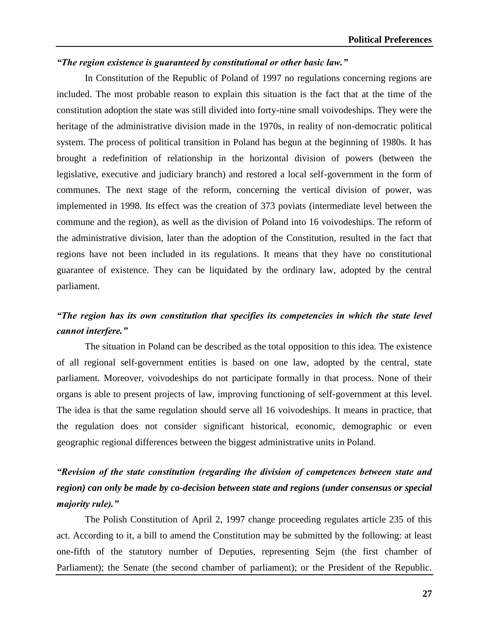#### *"The region existence is guaranteed by constitutional or other basic law."*

In Constitution of the Republic of Poland of 1997 no regulations concerning regions are included. The most probable reason to explain this situation is the fact that at the time of the constitution adoption the state was still divided into forty-nine small voivodeships. They were the heritage of the administrative division made in the 1970s, in reality of non-democratic political system. The process of political transition in Poland has begun at the beginning of 1980s. It has brought a redefinition of relationship in the horizontal division of powers (between the legislative, executive and judiciary branch) and restored a local self-government in the form of communes. The next stage of the reform, concerning the vertical division of power, was implemented in 1998. Its effect was the creation of 373 poviats (intermediate level between the commune and the region), as well as the division of Poland into 16 voivodeships. The reform of the administrative division, later than the adoption of the Constitution, resulted in the fact that regions have not been included in its regulations. It means that they have no constitutional guarantee of existence. They can be liquidated by the ordinary law, adopted by the central parliament.

### *"The region has its own constitution that specifies its competencies in which the state level cannot interfere."*

The situation in Poland can be described as the total opposition to this idea. The existence of all regional self-government entities is based on one law, adopted by the central, state parliament. Moreover, voivodeships do not participate formally in that process. None of their organs is able to present projects of law, improving functioning of self-government at this level. The idea is that the same regulation should serve all 16 voivodeships. It means in practice, that the regulation does not consider significant historical, economic, demographic or even geographic regional differences between the biggest administrative units in Poland.

### *"Revision of the state constitution (regarding the division of competences between state and region) can only be made by co-decision between state and regions (under consensus or special majority rule)."*

The Polish Constitution of April 2, 1997 change proceeding regulates article 235 of this act. According to it, a bill to amend the Constitution may be submitted by the following: at least one-fifth of the statutory number of Deputies, representing Sejm (the first chamber of Parliament); the Senate (the second chamber of parliament); or the President of the Republic.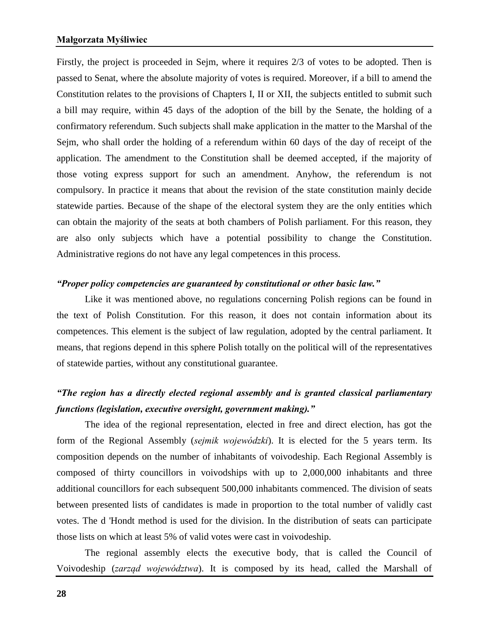#### **Małgorzata Myśliwiec**

Firstly, the project is proceeded in Sejm, where it requires 2/3 of votes to be adopted. Then is passed to Senat, where the absolute majority of votes is required. Moreover, if a bill to amend the Constitution relates to the provisions of Chapters I, II or XII, the subjects entitled to submit such a bill may require, within 45 days of the adoption of the bill by the Senate, the holding of a confirmatory referendum. Such subjects shall make application in the matter to the Marshal of the Sejm, who shall order the holding of a referendum within 60 days of the day of receipt of the application. The amendment to the Constitution shall be deemed accepted, if the majority of those voting express support for such an amendment. Anyhow, the referendum is not compulsory. In practice it means that about the revision of the state constitution mainly decide statewide parties. Because of the shape of the electoral system they are the only entities which can obtain the majority of the seats at both chambers of Polish parliament. For this reason, they are also only subjects which have a potential possibility to change the Constitution. Administrative regions do not have any legal competences in this process.

#### *"Proper policy competencies are guaranteed by constitutional or other basic law."*

Like it was mentioned above, no regulations concerning Polish regions can be found in the text of Polish Constitution. For this reason, it does not contain information about its competences. This element is the subject of law regulation, adopted by the central parliament. It means, that regions depend in this sphere Polish totally on the political will of the representatives of statewide parties*,* without any constitutional guarantee.

### *"The region has a directly elected regional assembly and is granted classical parliamentary functions (legislation, executive oversight, government making)."*

The idea of the regional representation, elected in free and direct election, has got the form of the Regional Assembly (*sejmik wojewódzki*). It is elected for the 5 years term. Its composition depends on the number of inhabitants of voivodeship. Each Regional Assembly is composed of thirty councillors in voivodships with up to 2,000,000 inhabitants and three additional councillors for each subsequent 500,000 inhabitants commenced. The division of seats between presented lists of candidates is made in proportion to the total number of validly cast votes. The d 'Hondt method is used for the division. In the distribution of seats can participate those lists on which at least 5% of valid votes were cast in voivodeship.

The regional assembly elects the executive body, that is called the Council of Voivodeship (*zarząd województwa*). It is composed by its head, called the Marshall of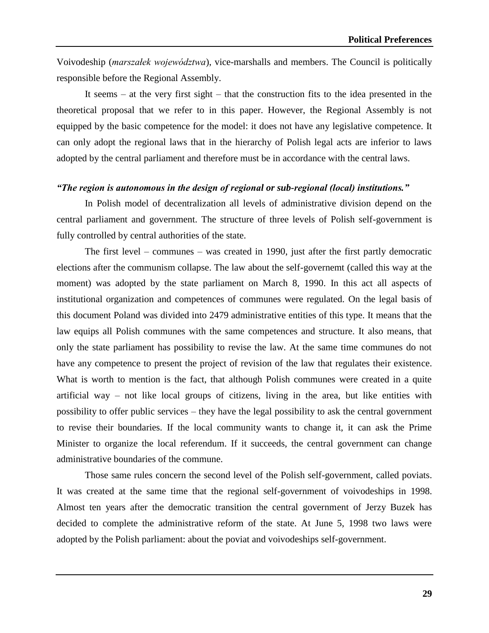Voivodeship (*marszałek województwa*), vice-marshalls and members. The Council is politically responsible before the Regional Assembly.

It seems – at the very first sight – that the construction fits to the idea presented in the theoretical proposal that we refer to in this paper. However, the Regional Assembly is not equipped by the basic competence for the model: it does not have any legislative competence. It can only adopt the regional laws that in the hierarchy of Polish legal acts are inferior to laws adopted by the central parliament and therefore must be in accordance with the central laws.

#### *"The region is autonomous in the design of regional or sub-regional (local) institutions."*

In Polish model of decentralization all levels of administrative division depend on the central parliament and government. The structure of three levels of Polish self-government is fully controlled by central authorities of the state.

The first level – communes – was created in 1990, just after the first partly democratic elections after the communism collapse. The law about the self-governemt (called this way at the moment) was adopted by the state parliament on March 8, 1990. In this act all aspects of institutional organization and competences of communes were regulated. On the legal basis of this document Poland was divided into 2479 administrative entities of this type. It means that the law equips all Polish communes with the same competences and structure. It also means, that only the state parliament has possibility to revise the law. At the same time communes do not have any competence to present the project of revision of the law that regulates their existence. What is worth to mention is the fact, that although Polish communes were created in a quite artificial way – not like local groups of citizens, living in the area, but like entities with possibility to offer public services – they have the legal possibility to ask the central government to revise their boundaries. If the local community wants to change it, it can ask the Prime Minister to organize the local referendum. If it succeeds, the central government can change administrative boundaries of the commune.

Those same rules concern the second level of the Polish self-government, called poviats. It was created at the same time that the regional self-government of voivodeships in 1998. Almost ten years after the democratic transition the central government of Jerzy Buzek has decided to complete the administrative reform of the state. At June 5, 1998 two laws were adopted by the Polish parliament: about the poviat and voivodeships self-government.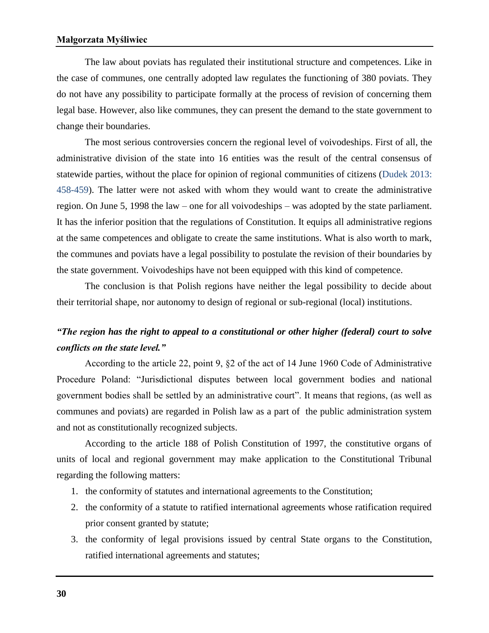#### **Małgorzata Myśliwiec**

The law about poviats has regulated their institutional structure and competences. Like in the case of communes, one centrally adopted law regulates the functioning of 380 poviats. They do not have any possibility to participate formally at the process of revision of concerning them legal base. However, also like communes, they can present the demand to the state government to change their boundaries.

The most serious controversies concern the regional level of voivodeships. First of all, the administrative division of the state into 16 entities was the result of the central consensus of statewide parties, without the place for opinion of regional communities of citizens (Dudek 2013: 458-459). The latter were not asked with whom they would want to create the administrative region. On June 5, 1998 the law – one for all voivodeships – was adopted by the state parliament. It has the inferior position that the regulations of Constitution. It equips all administrative regions at the same competences and obligate to create the same institutions. What is also worth to mark, the communes and poviats have a legal possibility to postulate the revision of their boundaries by the state government. Voivodeships have not been equipped with this kind of competence.

The conclusion is that Polish regions have neither the legal possibility to decide about their territorial shape, nor autonomy to design of regional or sub-regional (local) institutions.

### *"The region has the right to appeal to a constitutional or other higher (federal) court to solve conflicts on the state level."*

According to the article 22, point 9, §2 of the act of 14 June 1960 Code of Administrative Procedure Poland: "Jurisdictional disputes between local government bodies and national government bodies shall be settled by an administrative court". It means that regions, (as well as communes and poviats) are regarded in Polish law as a part of the public administration system and not as constitutionally recognized subjects.

According to the article 188 of Polish Constitution of 1997, the constitutive organs of units of local and regional government may make application to the Constitutional Tribunal regarding the following matters:

- 1. the conformity of statutes and international agreements to the Constitution;
- 2. the conformity of a statute to ratified international agreements whose ratification required prior consent granted by statute;
- 3. the conformity of legal provisions issued by central State organs to the Constitution, ratified international agreements and statutes;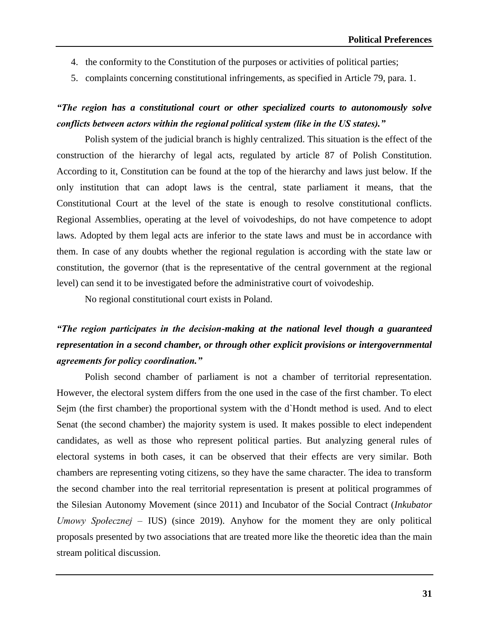- 4. the conformity to the Constitution of the purposes or activities of political parties;
- 5. complaints concerning constitutional infringements, as specified in Article 79, para. 1.

### *"The region has a constitutional court or other specialized courts to autonomously solve conflicts between actors within the regional political system (like in the US states)."*

Polish system of the judicial branch is highly centralized. This situation is the effect of the construction of the hierarchy of legal acts, regulated by article 87 of Polish Constitution. According to it, Constitution can be found at the top of the hierarchy and laws just below. If the only institution that can adopt laws is the central, state parliament it means, that the Constitutional Court at the level of the state is enough to resolve constitutional conflicts. Regional Assemblies, operating at the level of voivodeships, do not have competence to adopt laws. Adopted by them legal acts are inferior to the state laws and must be in accordance with them. In case of any doubts whether the regional regulation is according with the state law or constitution, the governor (that is the representative of the central government at the regional level) can send it to be investigated before the administrative court of voivodeship.

No regional constitutional court exists in Poland.

### *"The region participates in the decision-making at the national level though a guaranteed representation in a second chamber, or through other explicit provisions or intergovernmental agreements for policy coordination."*

Polish second chamber of parliament is not a chamber of territorial representation. However, the electoral system differs from the one used in the case of the first chamber. To elect Sejm (the first chamber) the proportional system with the d`Hondt method is used. And to elect Senat (the second chamber) the majority system is used. It makes possible to elect independent candidates, as well as those who represent political parties. But analyzing general rules of electoral systems in both cases, it can be observed that their effects are very similar. Both chambers are representing voting citizens, so they have the same character. The idea to transform the second chamber into the real territorial representation is present at political programmes of the Silesian Autonomy Movement (since 2011) and Incubator of the Social Contract (*Inkubator Umowy Społecznej* – IUS) (since 2019). Anyhow for the moment they are only political proposals presented by two associations that are treated more like the theoretic idea than the main stream political discussion.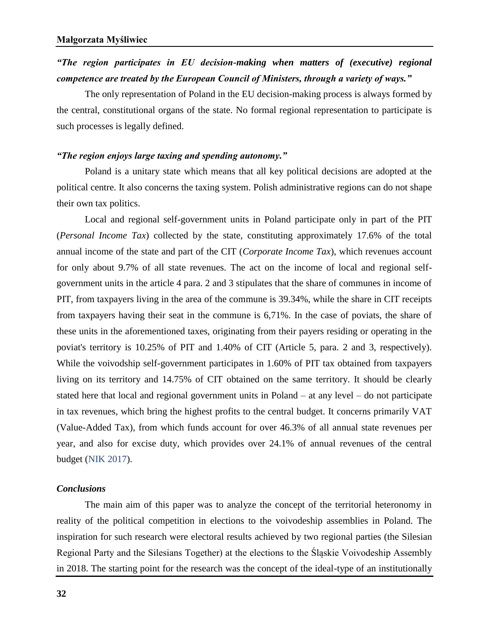### *"The region participates in EU decision-making when matters of (executive) regional competence are treated by the European Council of Ministers, through a variety of ways."*

The only representation of Poland in the EU decision-making process is always formed by the central, constitutional organs of the state. No formal regional representation to participate is such processes is legally defined.

#### *"The region enjoys large taxing and spending autonomy."*

Poland is a unitary state which means that all key political decisions are adopted at the political centre. It also concerns the taxing system. Polish administrative regions can do not shape their own tax politics.

Local and regional self-government units in Poland participate only in part of the PIT (*Personal Income Tax*) collected by the state, constituting approximately 17.6% of the total annual income of the state and part of the CIT (*Corporate Income Tax*), which revenues account for only about 9.7% of all state revenues. The act on the income of local and regional selfgovernment units in the article 4 para. 2 and 3 stipulates that the share of communes in income of PIT, from taxpayers living in the area of the commune is 39.34%, while the share in CIT receipts from taxpayers having their seat in the commune is 6,71%. In the case of poviats, the share of these units in the aforementioned taxes, originating from their payers residing or operating in the poviat's territory is 10.25% of PIT and 1.40% of CIT (Article 5, para. 2 and 3, respectively). While the voivodship self-government participates in 1.60% of PIT tax obtained from taxpayers living on its territory and 14.75% of CIT obtained on the same territory. It should be clearly stated here that local and regional government units in Poland – at any level – do not participate in tax revenues, which bring the highest profits to the central budget. It concerns primarily VAT (Value-Added Tax), from which funds account for over 46.3% of all annual state revenues per year, and also for excise duty, which provides over 24.1% of annual revenues of the central budget (NIK 2017).

#### *Conclusions*

The main aim of this paper was to analyze the concept of the territorial heteronomy in reality of the political competition in elections to the voivodeship assemblies in Poland. The inspiration for such research were electoral results achieved by two regional parties (the Silesian Regional Party and the Silesians Together) at the elections to the Śląskie Voivodeship Assembly in 2018. The starting point for the research was the concept of the ideal-type of an institutionally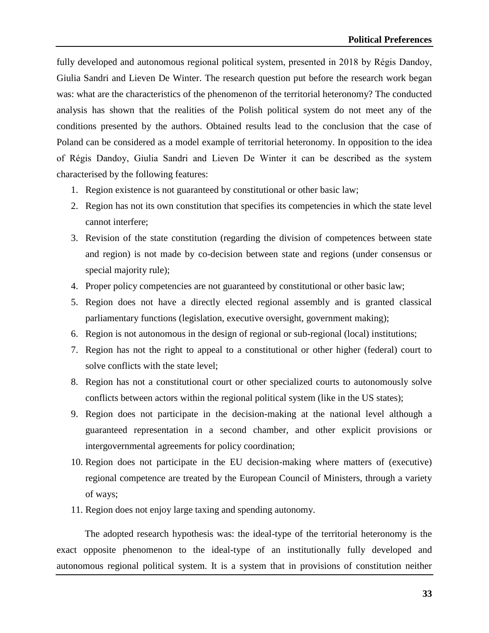fully developed and autonomous regional political system, presented in 2018 by Régis Dandoy, Giulia Sandri and Lieven De Winter. The research question put before the research work began was: what are the characteristics of the phenomenon of the territorial heteronomy? The conducted analysis has shown that the realities of the Polish political system do not meet any of the conditions presented by the authors. Obtained results lead to the conclusion that the case of Poland can be considered as a model example of territorial heteronomy. In opposition to the idea of Régis Dandoy, Giulia Sandri and Lieven De Winter it can be described as the system characterised by the following features:

- 1. Region existence is not guaranteed by constitutional or other basic law;
- 2. Region has not its own constitution that specifies its competencies in which the state level cannot interfere;
- 3. Revision of the state constitution (regarding the division of competences between state and region) is not made by co-decision between state and regions (under consensus or special majority rule);
- 4. Proper policy competencies are not guaranteed by constitutional or other basic law;
- 5. Region does not have a directly elected regional assembly and is granted classical parliamentary functions (legislation, executive oversight, government making);
- 6. Region is not autonomous in the design of regional or sub-regional (local) institutions;
- 7. Region has not the right to appeal to a constitutional or other higher (federal) court to solve conflicts with the state level;
- 8. Region has not a constitutional court or other specialized courts to autonomously solve conflicts between actors within the regional political system (like in the US states);
- 9. Region does not participate in the decision-making at the national level although a guaranteed representation in a second chamber, and other explicit provisions or intergovernmental agreements for policy coordination;
- 10. Region does not participate in the EU decision-making where matters of (executive) regional competence are treated by the European Council of Ministers, through a variety of ways;
- 11. Region does not enjoy large taxing and spending autonomy.

The adopted research hypothesis was: the ideal-type of the territorial heteronomy is the exact opposite phenomenon to the ideal-type of an institutionally fully developed and autonomous regional political system. It is a system that in provisions of constitution neither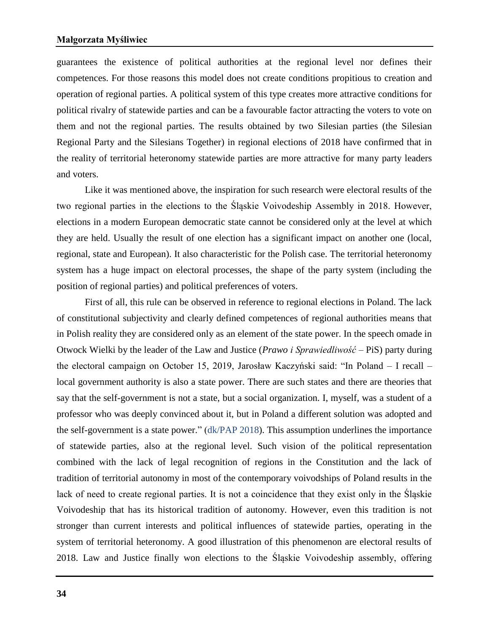#### **Małgorzata Myśliwiec**

guarantees the existence of political authorities at the regional level nor defines their competences. For those reasons this model does not create conditions propitious to creation and operation of regional parties. A political system of this type creates more attractive conditions for political rivalry of statewide parties and can be a favourable factor attracting the voters to vote on them and not the regional parties. The results obtained by two Silesian parties (the Silesian Regional Party and the Silesians Together) in regional elections of 2018 have confirmed that in the reality of territorial heteronomy statewide parties are more attractive for many party leaders and voters.

Like it was mentioned above, the inspiration for such research were electoral results of the two regional parties in the elections to the Śląskie Voivodeship Assembly in 2018. However, elections in a modern European democratic state cannot be considered only at the level at which they are held. Usually the result of one election has a significant impact on another one (local, regional, state and European). It also characteristic for the Polish case. The territorial heteronomy system has a huge impact on electoral processes, the shape of the party system (including the position of regional parties) and political preferences of voters.

First of all, this rule can be observed in reference to regional elections in Poland. The lack of constitutional subjectivity and clearly defined competences of regional authorities means that in Polish reality they are considered only as an element of the state power. In the speech omade in Otwock Wielki by the leader of the Law and Justice (*Prawo i Sprawiedliwość* – PiS) party during the electoral campaign on October 15, 2019, Jarosław Kaczyński said: "In Poland – I recall – local government authority is also a state power. There are such states and there are theories that say that the self-government is not a state, but a social organization. I, myself, was a student of a professor who was deeply convinced about it, but in Poland a different solution was adopted and the self-government is a state power." (dk/PAP 2018). This assumption underlines the importance of statewide parties, also at the regional level. Such vision of the political representation combined with the lack of legal recognition of regions in the Constitution and the lack of tradition of territorial autonomy in most of the contemporary voivodships of Poland results in the lack of need to create regional parties. It is not a coincidence that they exist only in the Śląskie Voivodeship that has its historical tradition of autonomy. However, even this tradition is not stronger than current interests and political influences of statewide parties, operating in the system of territorial heteronomy. A good illustration of this phenomenon are electoral results of 2018. Law and Justice finally won elections to the Śląskie Voivodeship assembly, offering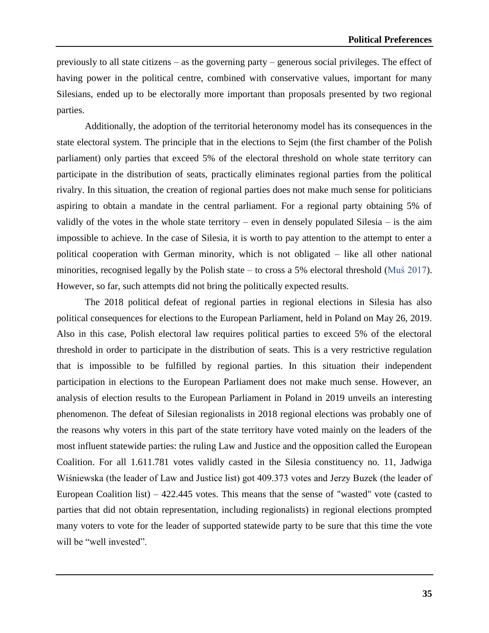previously to all state citizens – as the governing party – generous social privileges. The effect of having power in the political centre, combined with conservative values, important for many Silesians, ended up to be electorally more important than proposals presented by two regional parties.

Additionally, the adoption of the territorial heteronomy model has its consequences in the state electoral system. The principle that in the elections to Sejm (the first chamber of the Polish parliament) only parties that exceed 5% of the electoral threshold on whole state territory can participate in the distribution of seats, practically eliminates regional parties from the political rivalry. In this situation, the creation of regional parties does not make much sense for politicians aspiring to obtain a mandate in the central parliament. For a regional party obtaining 5% of validly of the votes in the whole state territory – even in densely populated Silesia – is the aim impossible to achieve. In the case of Silesia, it is worth to pay attention to the attempt to enter a political cooperation with German minority, which is not obligated – like all other national minorities, recognised legally by the Polish state – to cross a 5% electoral threshold (Mus  $2017$ ). However, so far, such attempts did not bring the politically expected results.

The 2018 political defeat of regional parties in regional elections in Silesia has also political consequences for elections to the European Parliament, held in Poland on May 26, 2019. Also in this case, Polish electoral law requires political parties to exceed 5% of the electoral threshold in order to participate in the distribution of seats. This is a very restrictive regulation that is impossible to be fulfilled by regional parties. In this situation their independent participation in elections to the European Parliament does not make much sense. However, an analysis of election results to the European Parliament in Poland in 2019 unveils an interesting phenomenon. The defeat of Silesian regionalists in 2018 regional elections was probably one of the reasons why voters in this part of the state territory have voted mainly on the leaders of the most influent statewide parties: the ruling Law and Justice and the opposition called the European Coalition. For all 1.611.781 votes validly casted in the Silesia constituency no. 11, Jadwiga Wiśniewska (the leader of Law and Justice list) got 409.373 votes and Jerzy Buzek (the leader of European Coalition list) – 422.445 votes. This means that the sense of "wasted" vote (casted to parties that did not obtain representation, including regionalists) in regional elections prompted many voters to vote for the leader of supported statewide party to be sure that this time the vote will be "well invested".